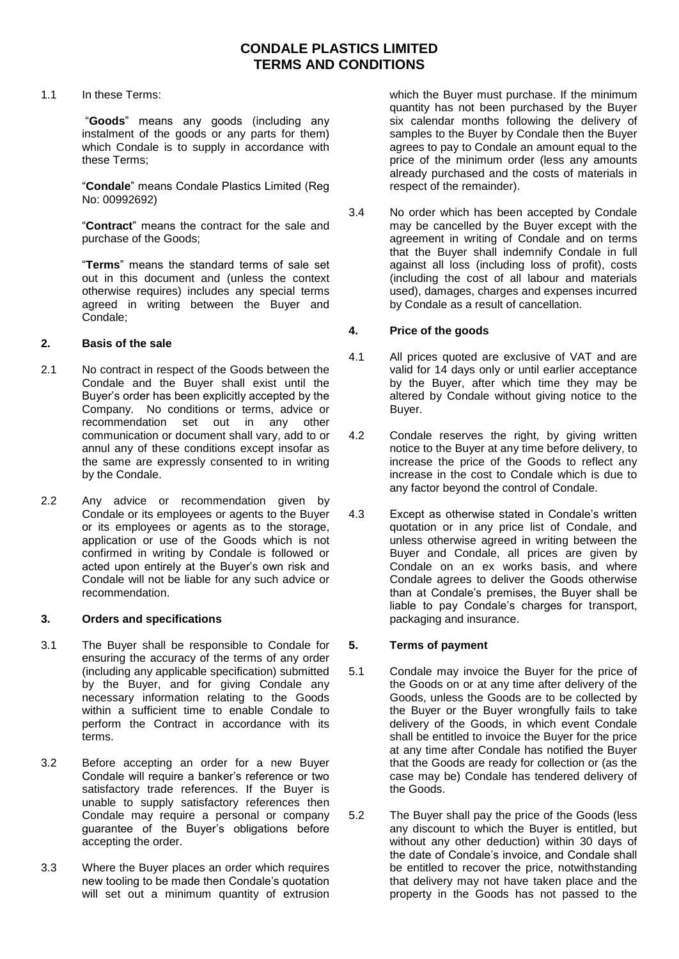1.1 In these Terms:

"**Goods**" means any goods (including any instalment of the goods or any parts for them) which Condale is to supply in accordance with these Terms;

"**Condale**" means Condale Plastics Limited (Reg No: 00992692)

"**Contract**" means the contract for the sale and purchase of the Goods;

"**Terms**" means the standard terms of sale set out in this document and (unless the context otherwise requires) includes any special terms agreed in writing between the Buyer and Condale;

### **2. Basis of the sale**

- 2.1 No contract in respect of the Goods between the Condale and the Buyer shall exist until the Buyer's order has been explicitly accepted by the Company. No conditions or terms, advice or recommendation set out in any other communication or document shall vary, add to or annul any of these conditions except insofar as the same are expressly consented to in writing by the Condale.
- 2.2 Any advice or recommendation given by Condale or its employees or agents to the Buyer or its employees or agents as to the storage, application or use of the Goods which is not confirmed in writing by Condale is followed or acted upon entirely at the Buyer's own risk and Condale will not be liable for any such advice or recommendation.

### **3. Orders and specifications**

- 3.1 The Buyer shall be responsible to Condale for ensuring the accuracy of the terms of any order (including any applicable specification) submitted by the Buyer, and for giving Condale any necessary information relating to the Goods within a sufficient time to enable Condale to perform the Contract in accordance with its terms.
- 3.2 Before accepting an order for a new Buyer Condale will require a banker's reference or two satisfactory trade references. If the Buyer is unable to supply satisfactory references then Condale may require a personal or company guarantee of the Buyer's obligations before accepting the order.
- 3.3 Where the Buyer places an order which requires new tooling to be made then Condale's quotation will set out a minimum quantity of extrusion

which the Buyer must purchase. If the minimum quantity has not been purchased by the Buyer six calendar months following the delivery of samples to the Buyer by Condale then the Buyer agrees to pay to Condale an amount equal to the price of the minimum order (less any amounts already purchased and the costs of materials in respect of the remainder).

3.4 No order which has been accepted by Condale may be cancelled by the Buyer except with the agreement in writing of Condale and on terms that the Buyer shall indemnify Condale in full against all loss (including loss of profit), costs (including the cost of all labour and materials used), damages, charges and expenses incurred by Condale as a result of cancellation.

## **4. Price of the goods**

- 4.1 All prices quoted are exclusive of VAT and are valid for 14 days only or until earlier acceptance by the Buyer, after which time they may be altered by Condale without giving notice to the Buyer.
- 4.2 Condale reserves the right, by giving written notice to the Buyer at any time before delivery, to increase the price of the Goods to reflect any increase in the cost to Condale which is due to any factor beyond the control of Condale.
- 4.3 Except as otherwise stated in Condale's written quotation or in any price list of Condale, and unless otherwise agreed in writing between the Buyer and Condale, all prices are given by Condale on an ex works basis, and where Condale agrees to deliver the Goods otherwise than at Condale's premises, the Buyer shall be liable to pay Condale's charges for transport, packaging and insurance.

## **5. Terms of payment**

- 5.1 Condale may invoice the Buyer for the price of the Goods on or at any time after delivery of the Goods, unless the Goods are to be collected by the Buyer or the Buyer wrongfully fails to take delivery of the Goods, in which event Condale shall be entitled to invoice the Buyer for the price at any time after Condale has notified the Buyer that the Goods are ready for collection or (as the case may be) Condale has tendered delivery of the Goods.
- 5.2 The Buyer shall pay the price of the Goods (less any discount to which the Buyer is entitled, but without any other deduction) within 30 days of the date of Condale's invoice, and Condale shall be entitled to recover the price, notwithstanding that delivery may not have taken place and the property in the Goods has not passed to the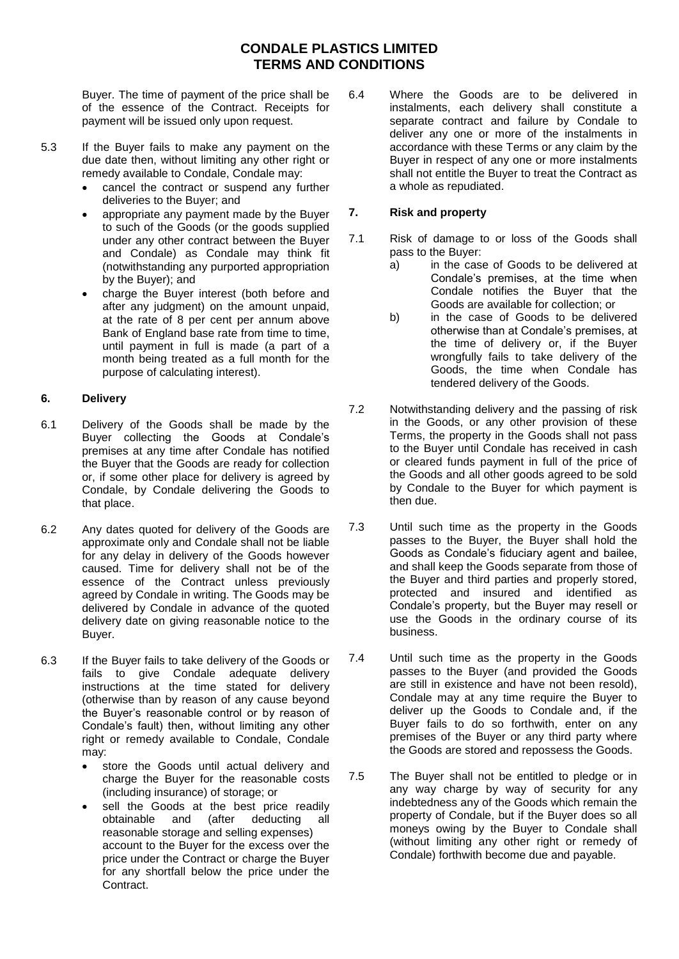Buyer. The time of payment of the price shall be of the essence of the Contract. Receipts for payment will be issued only upon request.

- 5.3 If the Buyer fails to make any payment on the due date then, without limiting any other right or remedy available to Condale, Condale may:
	- cancel the contract or suspend any further deliveries to the Buyer; and
	- appropriate any payment made by the Buyer to such of the Goods (or the goods supplied under any other contract between the Buyer and Condale) as Condale may think fit (notwithstanding any purported appropriation by the Buyer); and
	- charge the Buyer interest (both before and after any judgment) on the amount unpaid, at the rate of 8 per cent per annum above Bank of England base rate from time to time, until payment in full is made (a part of a month being treated as a full month for the purpose of calculating interest).

## **6. Delivery**

- 6.1 Delivery of the Goods shall be made by the Buyer collecting the Goods at Condale's premises at any time after Condale has notified the Buyer that the Goods are ready for collection or, if some other place for delivery is agreed by Condale, by Condale delivering the Goods to that place.
- 6.2 Any dates quoted for delivery of the Goods are approximate only and Condale shall not be liable for any delay in delivery of the Goods however caused. Time for delivery shall not be of the essence of the Contract unless previously agreed by Condale in writing. The Goods may be delivered by Condale in advance of the quoted delivery date on giving reasonable notice to the Buyer.
- 6.3 If the Buyer fails to take delivery of the Goods or fails to give Condale adequate delivery instructions at the time stated for delivery (otherwise than by reason of any cause beyond the Buyer's reasonable control or by reason of Condale's fault) then, without limiting any other right or remedy available to Condale, Condale may:
	- store the Goods until actual delivery and charge the Buyer for the reasonable costs (including insurance) of storage; or
	- sell the Goods at the best price readily obtainable and (after deducting all reasonable storage and selling expenses) account to the Buyer for the excess over the price under the Contract or charge the Buyer for any shortfall below the price under the Contract.

6.4 Where the Goods are to be delivered in instalments, each delivery shall constitute a separate contract and failure by Condale to deliver any one or more of the instalments in accordance with these Terms or any claim by the Buyer in respect of any one or more instalments shall not entitle the Buyer to treat the Contract as a whole as repudiated.

## **7. Risk and property**

- 7.1 Risk of damage to or loss of the Goods shall pass to the Buyer:
	- a) in the case of Goods to be delivered at Condale's premises, at the time when Condale notifies the Buyer that the Goods are available for collection; or
	- b) in the case of Goods to be delivered otherwise than at Condale's premises, at the time of delivery or, if the Buyer wrongfully fails to take delivery of the Goods, the time when Condale has tendered delivery of the Goods.
- 7.2 Notwithstanding delivery and the passing of risk in the Goods, or any other provision of these Terms, the property in the Goods shall not pass to the Buyer until Condale has received in cash or cleared funds payment in full of the price of the Goods and all other goods agreed to be sold by Condale to the Buyer for which payment is then due.
- 7.3 Until such time as the property in the Goods passes to the Buyer, the Buyer shall hold the Goods as Condale's fiduciary agent and bailee, and shall keep the Goods separate from those of the Buyer and third parties and properly stored, protected and insured and identified as Condale's property, but the Buyer may resell or use the Goods in the ordinary course of its business.
- 7.4 Until such time as the property in the Goods passes to the Buyer (and provided the Goods are still in existence and have not been resold), Condale may at any time require the Buyer to deliver up the Goods to Condale and, if the Buyer fails to do so forthwith, enter on any premises of the Buyer or any third party where the Goods are stored and repossess the Goods.
- 7.5 The Buyer shall not be entitled to pledge or in any way charge by way of security for any indebtedness any of the Goods which remain the property of Condale, but if the Buyer does so all moneys owing by the Buyer to Condale shall (without limiting any other right or remedy of Condale) forthwith become due and payable.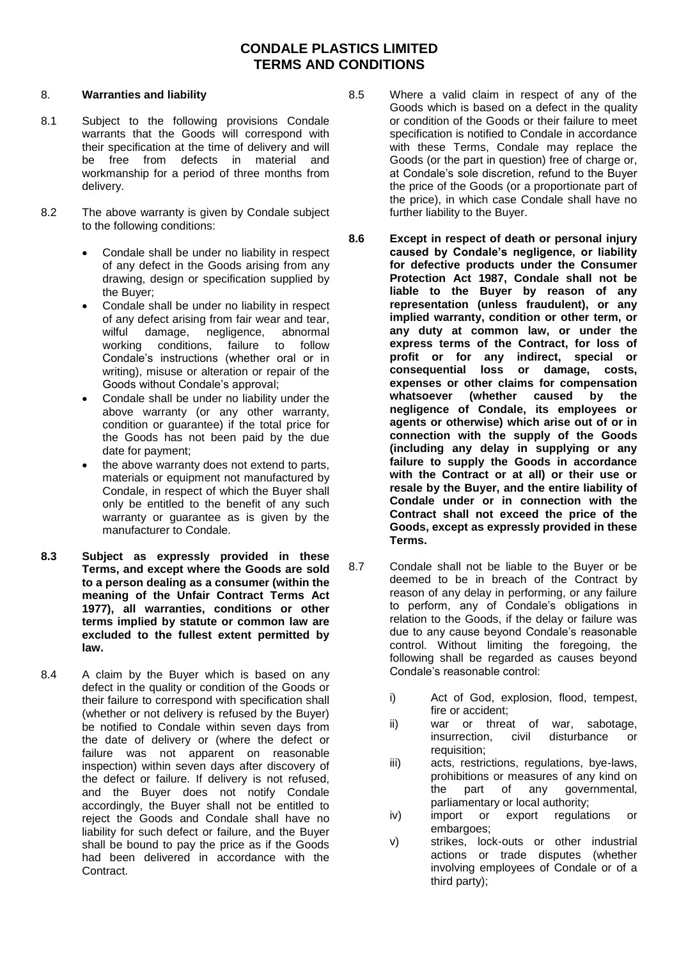### 8. **Warranties and liability**

- 8.1 Subject to the following provisions Condale warrants that the Goods will correspond with their specification at the time of delivery and will be free from defects in material and workmanship for a period of three months from delivery.
- 8.2 The above warranty is given by Condale subject to the following conditions:
	- Condale shall be under no liability in respect of any defect in the Goods arising from any drawing, design or specification supplied by the Buyer;
	- Condale shall be under no liability in respect of any defect arising from fair wear and tear, wilful damage, negligence, abnormal working conditions, failure to follow Condale's instructions (whether oral or in writing), misuse or alteration or repair of the Goods without Condale's approval;
	- Condale shall be under no liability under the above warranty (or any other warranty, condition or guarantee) if the total price for the Goods has not been paid by the due date for payment;
	- the above warranty does not extend to parts, materials or equipment not manufactured by Condale, in respect of which the Buyer shall only be entitled to the benefit of any such warranty or guarantee as is given by the manufacturer to Condale.
- **8.3 Subject as expressly provided in these Terms, and except where the Goods are sold to a person dealing as a consumer (within the meaning of the Unfair Contract Terms Act 1977), all warranties, conditions or other terms implied by statute or common law are excluded to the fullest extent permitted by law.**
- 8.4 A claim by the Buyer which is based on any defect in the quality or condition of the Goods or their failure to correspond with specification shall (whether or not delivery is refused by the Buyer) be notified to Condale within seven days from the date of delivery or (where the defect or failure was not apparent on reasonable inspection) within seven days after discovery of the defect or failure. If delivery is not refused, and the Buyer does not notify Condale accordingly, the Buyer shall not be entitled to reject the Goods and Condale shall have no liability for such defect or failure, and the Buyer shall be bound to pay the price as if the Goods had been delivered in accordance with the Contract.
- 8.5 Where a valid claim in respect of any of the Goods which is based on a defect in the quality or condition of the Goods or their failure to meet specification is notified to Condale in accordance with these Terms, Condale may replace the Goods (or the part in question) free of charge or, at Condale's sole discretion, refund to the Buyer the price of the Goods (or a proportionate part of the price), in which case Condale shall have no further liability to the Buyer.
- **8.6 Except in respect of death or personal injury caused by Condale's negligence, or liability for defective products under the Consumer Protection Act 1987, Condale shall not be liable to the Buyer by reason of any representation (unless fraudulent), or any implied warranty, condition or other term, or any duty at common law, or under the express terms of the Contract, for loss of profit or for any indirect, special or consequential loss or damage, costs, expenses or other claims for compensation whatsoever (whether caused by the negligence of Condale, its employees or agents or otherwise) which arise out of or in connection with the supply of the Goods (including any delay in supplying or any failure to supply the Goods in accordance with the Contract or at all) or their use or resale by the Buyer, and the entire liability of Condale under or in connection with the Contract shall not exceed the price of the Goods, except as expressly provided in these Terms.**
- 8.7 Condale shall not be liable to the Buyer or be deemed to be in breach of the Contract by reason of any delay in performing, or any failure to perform, any of Condale's obligations in relation to the Goods, if the delay or failure was due to any cause beyond Condale's reasonable control. Without limiting the foregoing, the following shall be regarded as causes beyond Condale's reasonable control:
	- i) Act of God, explosion, flood, tempest, fire or accident;
	- ii) war or threat of war, sabotage, insurrection, civil disturbance or requisition;
	- iii) acts, restrictions, regulations, bye-laws, prohibitions or measures of any kind on the part of any governmental, parliamentary or local authority;
	- iv) import or export regulations or embargoes:
	- v) strikes, lock-outs or other industrial actions or trade disputes (whether involving employees of Condale or of a third party);